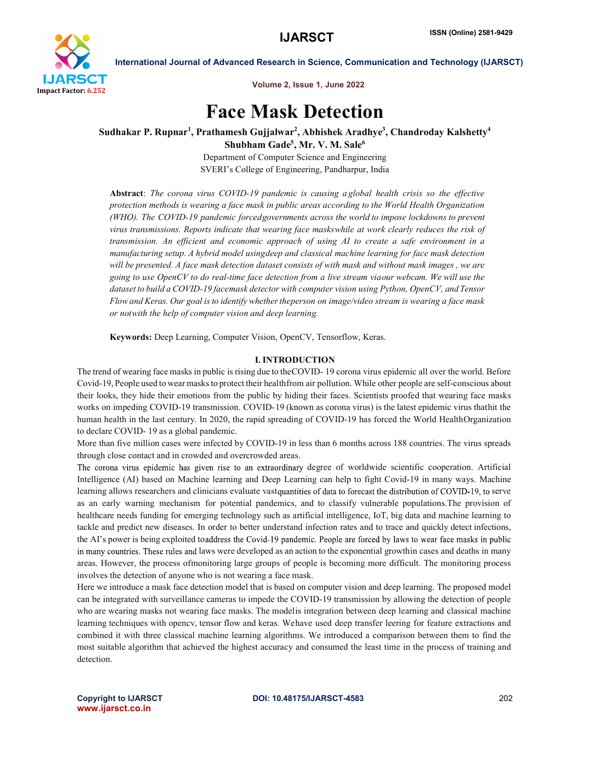

Volume 2, Issue 1, June 2022

# Face Mask Detection

Sudhakar P. Rupnar<sup>1</sup>, Prathamesh Gujjalwar<sup>2</sup>, Abhishek Aradhye<sup>3</sup>, Chandroday Kalshetty<sup>4</sup> Shubham Gade<sup>5</sup>, Mr. V. M. Sale<sup>6</sup>

> Department of Computer Science and Engineering SVERI's College of Engineering, Pandharpur, India

Abstract: *The corona virus COVID-19 pandemic is causing a global health crisis so the effective protection methods is wearing a face mask in public areas according to the World Health Organization (WHO). The COVID-19 pandemic forcedgovernments across the world to impose lockdowns to prevent virus transmissions. Reports indicate that wearing face maskswhile at work clearly reduces the risk of transmission. An efficient and economic approach of using AI to create a safe environment in a manufacturing setup. A hybrid model usingdeep and classical machine learning for face mask detection will be presented. A face mask detection dataset consists of with mask and without mask images , we are going to use OpenCV to do real-time face detection from a live stream viaour webcam. We will use the dataset to build a COVID-19 facemask detector with computer vision using Python, OpenCV, and Tensor Flowand Keras. Our goal isto identify whethertheperson on image/video stream is wearing a face mask or notwith the help of computer vision and deep learning.*

Keywords: Deep Learning, Computer Vision, OpenCV, Tensorflow, Keras.

#### I. INTRODUCTION

The trend of wearing face masks in public isrising due to theCOVID- 19 corona virus epidemic all over the world. Before Covid-19, People used to wear masksto protect their healthfrom air pollution. While other people are self-conscious about their looks, they hide their emotions from the public by hiding their faces. Scientists proofed that wearing face masks works on impeding COVID-19 transmission. COVID-19 (known as corona virus) is the latest epidemic virus thathit the human health in the last century. In 2020, the rapid spreading of COVID-19 has forced the World HealthOrganization to declare COVID- 19 as a global pandemic.

More than five million cases were infected by COVID-19 in less than 6 months across 188 countries. The virus spreads through close contact and in crowded and overcrowded areas.

The corona virus epidemic has given rise to an extraordinary degree of worldwide scientific cooperation. Artificial Intelligence (AI) based on Machine learning and Deep Learning can help to fight Covid-19 in many ways. Machine learning allows researchers and clinicians evaluate vast quantities of data to forecast the distribution of COVID-19, to serve as an early warning mechanism for potential pandemics, and to classify vulnerable populations.The provision of healthcare needs funding for emerging technology such as artificial intelligence, IoT, big data and machine learning to tackle and predict new diseases. In order to better understand infection rates and to trace and quickly detect infections, the AI's power is being exploited toaddress the Covid-19 pandemic. People are forced by laws to wear face masks in public in many countries. These rules and laws were developed as an action to the exponential growthin cases and deaths in many areas. However, the process ofmonitoring large groups of people is becoming more difficult. The monitoring process involves the detection of anyone who is not wearing a face mask.

Here we introduce a mask face detection model that is based on computer vision and deep learning. The proposed model can be integrated with surveillance cameras to impede the COVID-19 transmission by allowing the detection of people who are wearing masks not wearing face masks. The modelis integration between deep learning and classical machine learning techniques with opencv, tensor flow and keras. Wehave used deep transfer leering for feature extractions and combined it with three classical machine learning algorithms. We introduced a comparison between them to find the most suitable algorithm that achieved the highest accuracy and consumed the least time in the process of training and detection.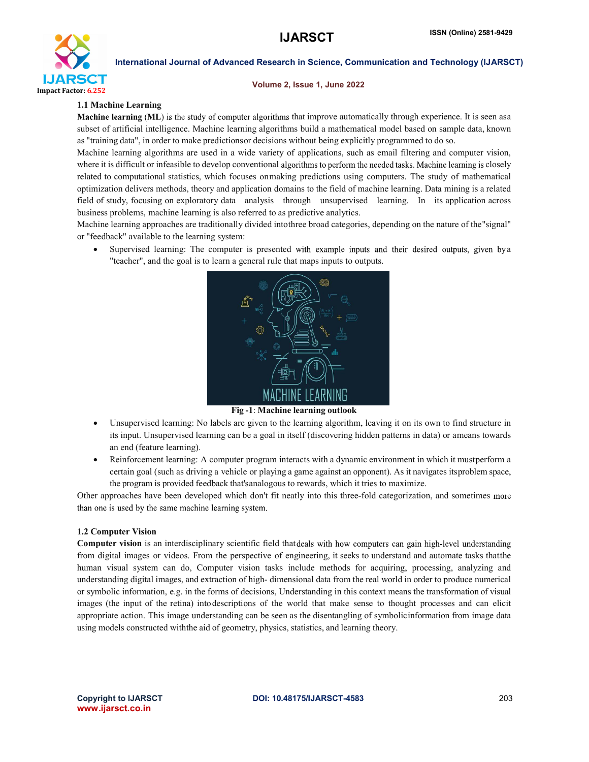

#### Volume 2, Issue 1, June 2022

#### 1.1 Machine Learning

Machine learning (ML) is the study of computer algorithms that improve automatically through experience. It is seen asa subset of artificial intelligence. Machine learning algorithms build a mathematical model based on sample data, known as "training data", in order to make predictionsor decisions without being explicitly programmed to do so.

Machine learning algorithms are used in a wide variety of applications, such as email filtering and computer vision, where it is difficult or infeasible to develop conventional algorithms to perform the needed tasks. Machine learning is closely related to computational statistics, which focuses onmaking predictions using computers. The study of mathematical optimization delivers methods, theory and application domains to the field of machine learning. Data mining is a related field of study, focusing on exploratory data analysis through unsupervised learning. In its application across business problems, machine learning is also referred to as predictive analytics.

Machine learning approaches are traditionally divided intothree broad categories, depending on the nature of the"signal" or "feedback" available to the learning system:

Supervised learning: The computer is presented with example inputs and their desired outputs, given by a "teacher", and the goal is to learn a general rule that maps inputs to outputs.



#### Fig -1: Machine learning outlook

- Unsupervised learning: No labels are given to the learning algorithm, leaving it on its own to find structure in its input. Unsupervised learning can be a goal in itself (discovering hidden patterns in data) or ameans towards an end (feature learning).
- Reinforcement learning: A computer program interacts with a dynamic environment in which it mustperform a certain goal (such as driving a vehicle or playing a game against an opponent). As it navigates itsproblem space, the program is provided feedback that'sanalogous to rewards, which it tries to maximize.

Other approaches have been developed which don't fit neatly into this three-fold categorization, and sometimes than one is used by the same machine learning system.

#### 1.2 Computer Vision

Computer vision is an interdisciplinary scientific field that deals with how computers can gain high-level understanding from digital images or videos. From the perspective of engineering, it seeks to understand and automate tasks thatthe human visual system can do, Computer vision tasks include methods for acquiring, processing, analyzing and understanding digital images, and extraction of high- dimensional data from the real world in order to produce numerical or symbolic information, e.g. in the forms of decisions, Understanding in this context means the transformation of visual images (the input of the retina) intodescriptions of the world that make sense to thought processes and can elicit appropriate action. This image understanding can be seen as the disentangling of symbolicinformation from image data using models constructed withthe aid of geometry, physics, statistics, and learning theory.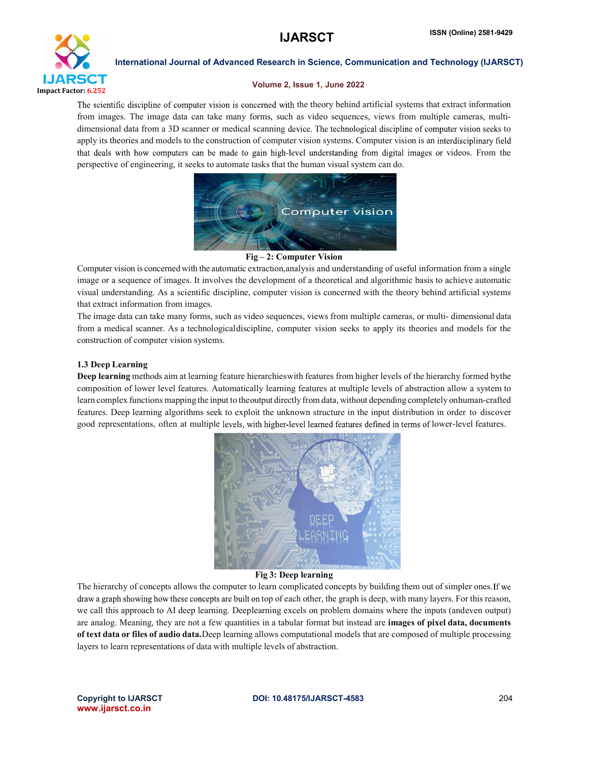

#### Volume 2, Issue 1, June 2022

The scientific discipline of computer vision is concerned with the theory behind artificial systems that extract information from images. The image data can take many forms, such as video sequences, views from multiple cameras, multidimensional data from a 3D scanner or medical scanning device. The technological discipline of computer vision seeks to apply its theories and models to the construction of computer vision systems. Computer vision is an interdisciplinary field that deals with how computers can be made to gain high-level understanding from digital images or videos. From the perspective of engineering, it seeks to automate tasks that the human visual system can do.



Fig – 2: Computer Vision

Computer vision is concerned with the automatic extraction,analysis and understanding of useful information from a single image or a sequence of images. It involves the development of a theoretical and algorithmic basis to achieve automatic visual understanding. As a scientific discipline, computer vision is concerned with the theory behind artificial systems that extract information from images.

The image data can take many forms, such as video sequences, views from multiple cameras, or multi- dimensional data from a medical scanner. As a technologicaldiscipline, computer vision seeks to apply its theories and models for the construction of computer vision systems.

### 1.3 Deep Learning

Deep learning methods aim at learning feature hierarchieswith features from higher levels of the hierarchy formed bythe composition of lower level features. Automatically learning features at multiple levels of abstraction allow a system to learn complex functions mapping the input to theoutput directly from data, without depending completely onhuman-crafted features. Deep learning algorithms seek to exploit the unknown structure in the input distribution in order to discover good representations, often at multiple levels, with higher-level learned features defined in terms of lower-level features.



#### Fig 3: Deep learning

The hierarchy of concepts allows the computer to learn complicated concepts by building them out of simpler ones. If we draw a graph showing how these concepts are built on top of each other, the graph is deep, with many layers. For this reason, we call this approach to AI deep learning. Deeplearning excels on problem domains where the inputs (andeven output) are analog. Meaning, they are not a few quantities in a tabular format but instead are **images of pixel data, documents** of text data or files of audio data.Deep learning allows computational models that are composed of multiple processing layers to learn representations of data with multiple levels of abstraction.

www.ijarsct.co.in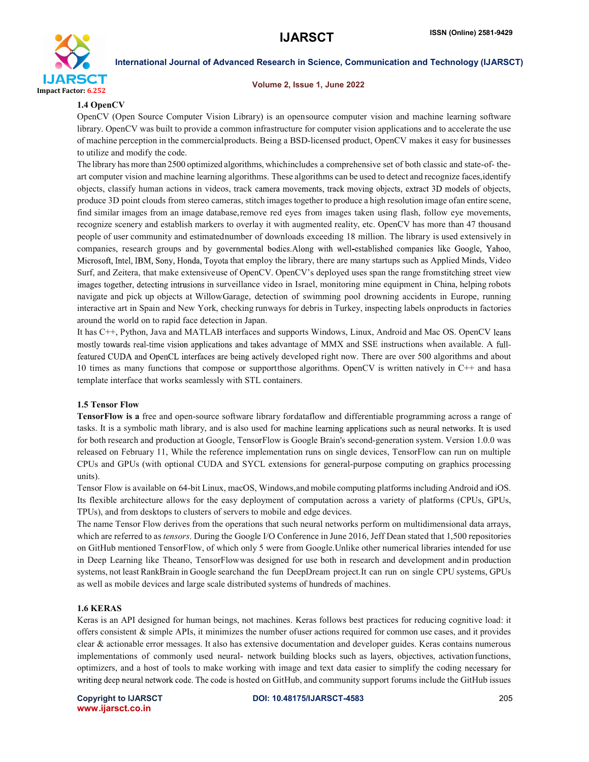

Volume 2, Issue 1, June 2022

### 1.4 OpenCV

OpenCV (Open Source Computer Vision Library) is an opensource computer vision and machine learning software library. OpenCV was built to provide a common infrastructure for computer vision applications and to accelerate the use of machine perception in the commercialproducts. Being a BSD-licensed product, OpenCV makes it easy for businesses to utilize and modify the code.

The library has more than 2500 optimized algorithms, whichincludes a comprehensive set of both classic and state-of- theart computer vision and machine learning algorithms. These algorithms can be used to detect and recognize faces,identify objects, classify human actions in videos, track camera movements, track moving objects, extract 3D models of objects, produce 3D point clouds from stereo cameras, stitch images together to produce a high resolution image ofan entire scene, find similar images from an image database,remove red eyes from images taken using flash, follow eye movements, recognize scenery and establish markers to overlay it with augmented reality, etc. OpenCV has more than 47 thousand people of user community and estimatednumber of downloads exceeding 18 million. The library is used extensively in companies, research groups and by governmental bodies. Along with well-established companies like Google, Yahoo, Microsoft, Intel, IBM, Sony, Honda, Toyota that employ the library, there are many startups such as Applied Minds, Video Surf, and Zeitera, that make extensiveuse of OpenCV. OpenCV's deployed uses span the range from stitching street view images together, detecting intrusions in surveillance video in Israel, monitoring mine equipment in China, helping robots navigate and pick up objects at WillowGarage, detection of swimming pool drowning accidents in Europe, running interactive art in Spain and New York, checking runways for debris in Turkey, inspecting labels onproducts in factories around the world on to rapid face detection in Japan.

It has C++, Python, Java and MATLAB interfaces and supports Windows, Linux, Android and Mac OS. OpenCV mostly towards real-time vision applications and takes advantage of MMX and SSE instructions when available. A fullfeatured CUDA and OpenCL interfaces are being actively developed right now. There are over 500 algorithms and about 10 times as many functions that compose or supportthose algorithms. OpenCV is written natively in C++ and hasa template interface that works seamlessly with STL containers.

# 1.5 Tensor Flow

TensorFlow is a free and open-source software library fordataflow and differentiable programming across a range of tasks. It is a symbolic math library, and is also used for machine learning applications such as neural networks. It is used for both research and production at Google, TensorFlow is Google Brain's second-generation system. Version 1.0.0 was released on February 11, While the reference implementation runs on single devices, TensorFlow can run on multiple CPUs and GPUs (with optional CUDA and SYCL extensions for general-purpose computing on graphics processing units).

Tensor Flow is available on 64-bit Linux, macOS, Windows,and mobile computing platformsincluding Android and iOS. Its flexible architecture allows for the easy deployment of computation across a variety of platforms (CPUs, GPUs, TPUs), and from desktops to clusters of servers to mobile and edge devices.

The name Tensor Flow derives from the operations that such neural networks perform on multidimensional data arrays, which are referred to as *tensors*. During the Google I/O Conference in June 2016, Jeff Dean stated that 1,500 repositories on GitHub mentioned TensorFlow, of which only 5 were from Google.Unlike other numerical libraries intended for use in Deep Learning like Theano, TensorFlowwas designed for use both in research and development andin production systems, not least RankBrain in Google searchand the fun DeepDream project.It can run on single CPU systems, GPUs as well as mobile devices and large scale distributed systems of hundreds of machines.

#### 1.6 KERAS

Keras is an API designed for human beings, not machines. Keras follows best practices for reducing cognitive load: it offers consistent  $\&$  simple APIs, it minimizes the number of user actions required for common use cases, and it provides clear & actionable error messages. It also has extensive documentation and developer guides. Keras contains numerous implementations of commonly used neural- network building blocks such as layers, objectives, activation functions, optimizers, and a host of tools to make working with image and text data easier to simplify the coding writing deep neural network code. The code is hosted on GitHub, and community support forums include the GitHub issues

www.ijarsct.co.in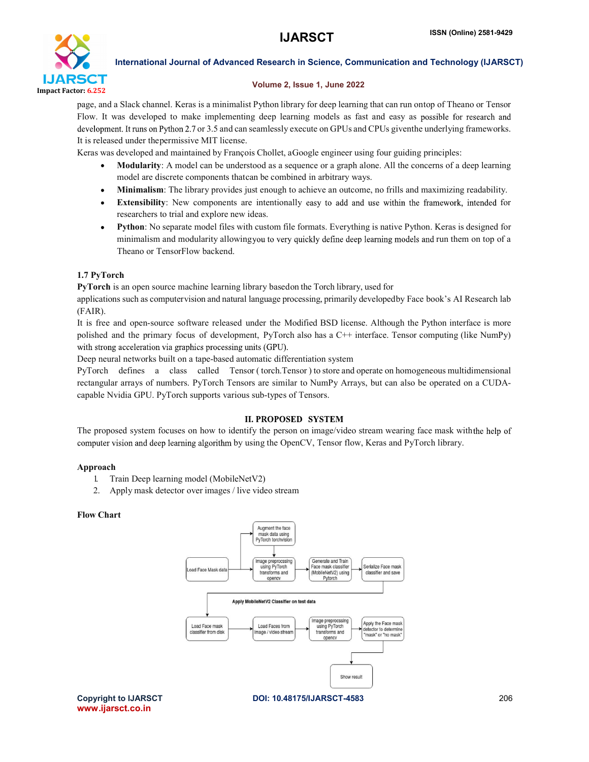

## Volume 2, Issue 1, June 2022

page, and a Slack channel. Keras is a minimalist Python library for deep learning that can run ontop of Theano or Tensor Flow. It was developed to make implementing deep learning models as fast and easy as possible for research and development. It runs on Python 2.7 or 3.5 and can seamlessly execute on GPUs and CPUs given the underlying frameworks. It is released under thepermissive MIT license.

Keras was developed and maintained by François Chollet, aGoogle engineer using four guiding principles:

- Modularity: A model can be understood as a sequence or a graph alone. All the concerns of a deep learning model are discrete components thatcan be combined in arbitrary ways.
- Minimalism: The library provides just enough to achieve an outcome, no frills and maximizing readability.
- **Extensibility**: New components are intentionally easy to add and use within the framework, intended for researchers to trial and explore new ideas.
- Python: No separate model files with custom file formats. Everything is native Python. Keras is designed for minimalism and modularity allowing you to very quickly define deep learning models and run them on top of a Theano or TensorFlow backend.

# 1.7 PyTorch

PyTorch is an open source machine learning library basedon the Torch library, used for

applications such as computervision and natural language processing, primarily developedby Face book's AI Research lab (FAIR).

It is free and open-source software released under the Modified BSD license. Although the Python interface is more polished and the primary focus of development, PyTorch also has a C++ interface. Tensor computing (like NumPy) with strong acceleration via graphics processing units (GPU).

Deep neural networks built on a tape-based automatic differentiation system

PyTorch defines a class called Tensor ( torch.Tensor ) to store and operate on homogeneous multidimensional rectangular arrays of numbers. PyTorch Tensors are similar to NumPy Arrays, but can also be operated on a CUDAcapable Nvidia GPU. PyTorch supports various sub-types of Tensors.

# **II. PROPOSED SYSTEM**

The proposed system focuses on how to identify the person on image/video stream wearing face mask with the help of computer vision and deep learning algorithm by using the OpenCV, Tensor flow, Keras and PyTorch library.

# Approach

- 1. Train Deep learning model (MobileNetV2)
- 2. Apply mask detector over images / live video stream

# Flow Chart

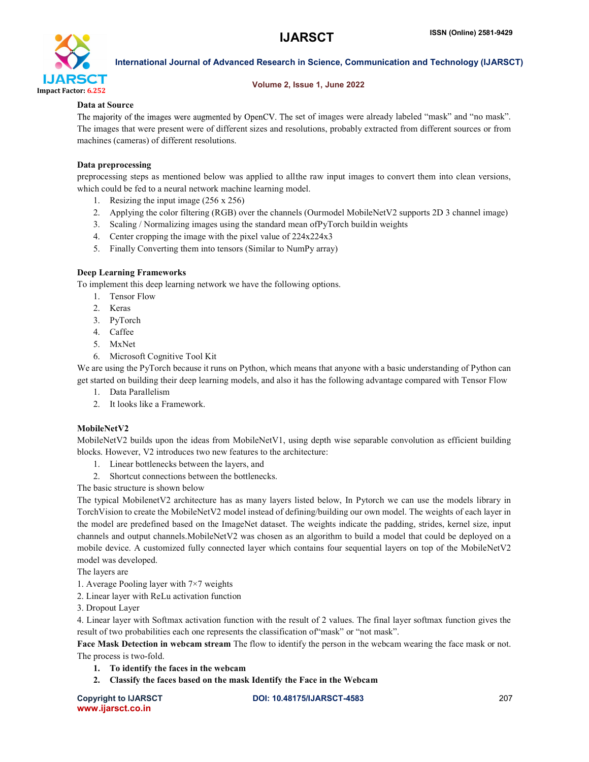

#### Volume 2, Issue 1, June 2022

#### Data at Source

The majority of the images were augmented by OpenCV. The set of images were already labeled "mask" and "no mask". The images that were present were of different sizes and resolutions, probably extracted from different sources or from machines (cameras) of different resolutions.

## Data preprocessing

preprocessing steps as mentioned below was applied to allthe raw input images to convert them into clean versions, which could be fed to a neural network machine learning model.

- 1. Resizing the input image (256 x 256)
- 2. Applying the color filtering (RGB) over the channels (Ourmodel MobileNetV2 supports 2D 3 channel image)
- 3. Scaling / Normalizing images using the standard mean ofPyTorch buildin weights
- 4. Center cropping the image with the pixel value of 224x224x3
- 5. Finally Converting them into tensors (Similar to NumPy array)

# Deep Learning Frameworks

To implement this deep learning network we have the following options.

- 1. Tensor Flow
- 2. Keras
- 3. PyTorch
- 4. Caffee
- 5. MxNet
- 6. Microsoft Cognitive Tool Kit

We are using the PyTorch because it runs on Python, which means that anyone with a basic understanding of Python can get started on building their deep learning models, and also it has the following advantage compared with Tensor Flow

- 1. Data Parallelism
- 2. It looks like a Framework.

# MobileNetV2

MobileNetV2 builds upon the ideas from MobileNetV1, using depth wise separable convolution as efficient building blocks. However, V2 introduces two new features to the architecture:

- 1. Linear bottlenecks between the layers, and
- 2. Shortcut connections between the bottlenecks.

The basic structure is shown below

The typical MobilenetV2 architecture has as many layers listed below, In Pytorch we can use the models library in TorchVision to create the MobileNetV2 model instead of defining/building our own model. The weights of each layer in the model are predefined based on the ImageNet dataset. The weights indicate the padding, strides, kernel size, input channels and output channels.MobileNetV2 was chosen as an algorithm to build a model that could be deployed on a mobile device. A customized fully connected layer which contains four sequential layers on top of the MobileNetV2 model was developed.

The layers are

- 1. Average Pooling layer with 7×7 weights
- 2. Linear layer with ReLu activation function
- 3. Dropout Layer

4. Linear layer with Softmax activation function with the result of 2 values. The final layer softmax function gives the result of two probabilities each one represents the classification of "mask" or "not mask".

Face Mask Detection in webcam stream The flow to identify the person in the webcam wearing the face mask or not. The process is two-fold.

- 1. To identify the faces in the webcam
- 2. Classify the faces based on the mask Identify the Face in the Webcam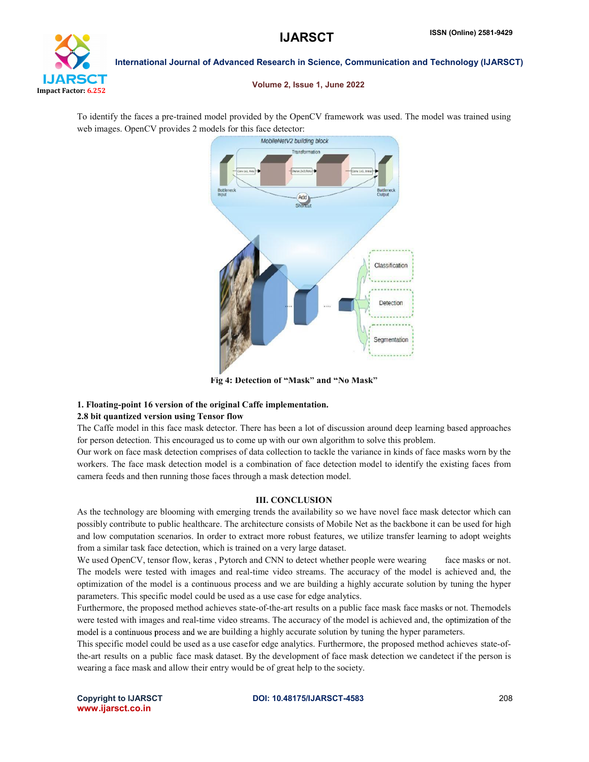

Volume 2, Issue 1, June 2022

To identify the faces a pre-trained model provided by the OpenCV framework was used. The model was trained using web images. OpenCV provides 2 models for this face detector:



Fig 4: Detection of "Mask" and "No Mask"

# 1. Floating-point 16 version of the original Caffe implementation.

# 2.8 bit quantized version using Tensor flow

The Caffe model in this face mask detector. There has been a lot of discussion around deep learning based approaches for person detection. This encouraged us to come up with our own algorithm to solve this problem.

Our work on face mask detection comprises of data collection to tackle the variance in kinds of face masks worn by the workers. The face mask detection model is a combination of face detection model to identify the existing faces from camera feeds and then running those faces through a mask detection model.

# III. CONCLUSION

As the technology are blooming with emerging trends the availability so we have novel face mask detector which can possibly contribute to public healthcare. The architecture consists of Mobile Net as the backbone it can be used for high and low computation scenarios. In order to extract more robust features, we utilize transfer learning to adopt weights from a similar task face detection, which is trained on a very large dataset.

We used OpenCV, tensor flow, keras , Pytorch and CNN to detect whether people were wearing face masks or not. The models were tested with images and real-time video streams. The accuracy of the model is achieved and, the optimization of the model is a continuous process and we are building a highly accurate solution by tuning the hyper parameters. This specific model could be used as a use case for edge analytics.

Furthermore, the proposed method achieves state-of-the-art results on a public face mask face masks or not. Themodels were tested with images and real-time video streams. The accuracy of the model is achieved and, the optimization of the model is a continuous process and we are building a highly accurate solution by tuning the hyper parameters.

This specific model could be used as a use casefor edge analytics. Furthermore, the proposed method achieves state-ofthe-art results on a public face mask dataset. By the development of face mask detection we candetect if the person is wearing a face mask and allow their entry would be of great help to the society.

www.ijarsct.co.in

Copyright to IJARSCT **DOI: 10.48175/IJARSCT-4583** 208